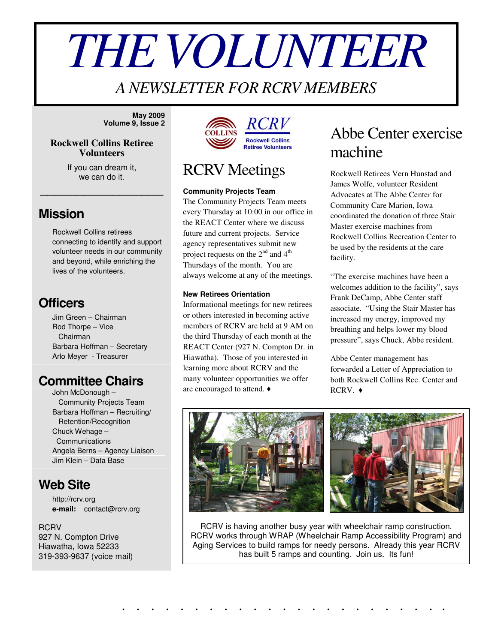# *THEVOLUNTEER*

## *A NEWSLETTER FOR RCRV MEMBERS*

**May 2009 Volume 9, Issue 2**

#### **Rockwell Collins Retiree Volunteers**

If you can dream it, we can do it.

\_\_\_\_\_\_\_\_\_\_\_\_\_\_\_\_\_

#### **Mission**

Rockwell Collins retirees connecting to identify and support volunteer needs in our community and beyond, while enriching the lives of the volunteers.

#### **Officers**

Jim Green – Chairman Rod Thorpe – Vice Chairman Barbara Hoffman – Secretary Arlo Meyer - Treasurer

## **Committee Chairs**

John McDonough – Community Projects Team Barbara Hoffman – Recruiting/ Retention/Recognition Chuck Wehage – Communications Angela Berns – Agency Liaison Jim Klein – Data Base

## **Web Site**

http://rcrv.org **e-mail:** contact@rcrv.org

**RCRV** 927 N. Compton Drive Hiawatha, Iowa 52233 319-393-9637 (voice mail)



## RCRV Meetings

#### **Community Projects Team**

The Community Projects Team meets every Thursday at 10:00 in our office in the REACT Center where we discuss future and current projects. Service agency representatives submit new project requests on the  $2^{nd}$  and  $4^{th}$ Thursdays of the month. You are always welcome at any of the meetings.

#### **New Retirees Orientation**

Informational meetings for new retirees or others interested in becoming active members of RCRV are held at 9 AM on the third Thursday of each month at the REACT Center (927 N. Compton Dr. in Hiawatha). Those of you interested in learning more about RCRV and the many volunteer opportunities we offer are encouraged to attend.

## Abbe Center exercise machine

Rockwell Retirees Vern Hunstad and James Wolfe, volunteer Resident Advocates at The Abbe Center for Community Care Marion, Iowa coordinated the donation of three Stair Master exercise machines from Rockwell Collins Recreation Center to be used by the residents at the care facility.

"The exercise machines have been a welcomes addition to the facility", says Frank DeCamp, Abbe Center staff associate. "Using the Stair Master has increased my energy, improved my breathing and helps lower my blood pressure", says Chuck, Abbe resident.

Abbe Center management has forwarded a Letter of Appreciation to both Rockwell Collins Rec. Center and  $RCRV.$   $\rightarrow$ 



. . . . . . . . . . . . . . . . . . . . . . .



RCRV is having another busy year with wheelchair ramp construction. RCRV works through WRAP (Wheelchair Ramp Accessibility Program) and Aging Services to build ramps for needy persons. Already this year RCRV has built 5 ramps and counting. Join us. Its fun!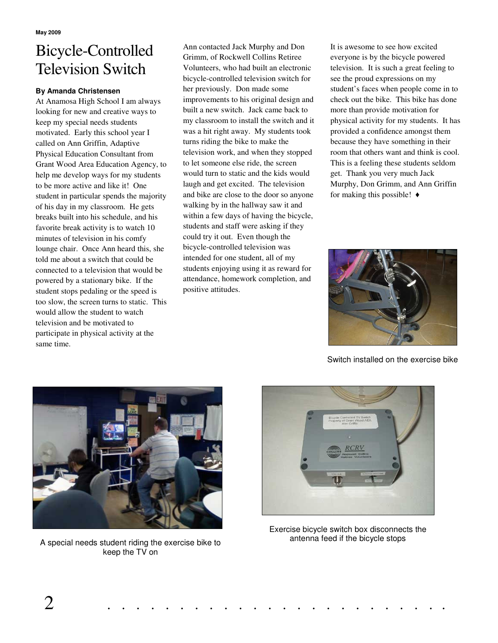# Bicycle-Controlled Television Switch

#### **By Amanda Christensen**

At Anamosa High School I am always looking for new and creative ways to keep my special needs students motivated. Early this school year I called on Ann Griffin, Adaptive Physical Education Consultant from Grant Wood Area Education Agency, to help me develop ways for my students to be more active and like it! One student in particular spends the majority of his day in my classroom. He gets breaks built into his schedule, and his favorite break activity is to watch 10 minutes of television in his comfy lounge chair. Once Ann heard this, she told me about a switch that could be connected to a television that would be powered by a stationary bike. If the student stops pedaling or the speed is too slow, the screen turns to static. This would allow the student to watch television and be motivated to participate in physical activity at the same time.

Ann contacted Jack Murphy and Don Grimm, of Rockwell Collins Retiree Volunteers, who had built an electronic bicycle-controlled television switch for her previously. Don made some improvements to his original design and built a new switch. Jack came back to my classroom to install the switch and it was a hit right away. My students took turns riding the bike to make the television work, and when they stopped to let someone else ride, the screen would turn to static and the kids would laugh and get excited. The television and bike are close to the door so anyone walking by in the hallway saw it and within a few days of having the bicycle, students and staff were asking if they could try it out. Even though the bicycle-controlled television was intended for one student, all of my students enjoying using it as reward for attendance, homework completion, and positive attitudes.

It is awesome to see how excited everyone is by the bicycle powered television. It is such a great feeling to see the proud expressions on my student's faces when people come in to check out the bike. This bike has done more than provide motivation for physical activity for my students. It has provided a confidence amongst them because they have something in their room that others want and think is cool. This is a feeling these students seldom get. Thank you very much Jack Murphy, Don Grimm, and Ann Griffin for making this possible!  $\triangleleft$ 



Switch installed on the exercise bike



A special needs student riding the exercise bike to keep the TV on



Exercise bicycle switch box disconnects the antenna feed if the bicycle stops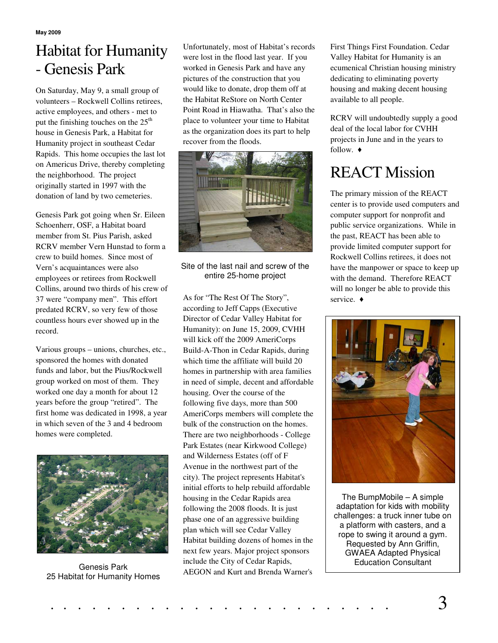# Habitat for Humanity - Genesis Park

On Saturday, May 9, a small group of volunteers – Rockwell Collins retirees, active employees, and others - met to put the finishing touches on the  $25<sup>th</sup>$ house in Genesis Park, a Habitat for Humanity project in southeast Cedar Rapids. This home occupies the last lot on Americus Drive, thereby completing the neighborhood. The project originally started in 1997 with the donation of land by two cemeteries.

Genesis Park got going when Sr. Eileen Schoenherr, OSF, a Habitat board member from St. Pius Parish, asked RCRV member Vern Hunstad to form a crew to build homes. Since most of Vern's acquaintances were also employees or retirees from Rockwell Collins, around two thirds of his crew of 37 were "company men". This effort predated RCRV, so very few of those countless hours ever showed up in the record.

Various groups – unions, churches, etc., sponsored the homes with donated funds and labor, but the Pius/Rockwell group worked on most of them. They worked one day a month for about 12 years before the group "retired". The first home was dedicated in 1998, a year in which seven of the 3 and 4 bedroom homes were completed.



Genesis Park 25 Habitat for Humanity Homes

Unfortunately, most of Habitat's records were lost in the flood last year. If you worked in Genesis Park and have any pictures of the construction that you would like to donate, drop them off at the Habitat ReStore on North Center Point Road in Hiawatha. That's also the place to volunteer your time to Habitat as the organization does its part to help recover from the floods.



Site of the last nail and screw of the entire 25-home project

As for "The Rest Of The Story", according to Jeff Capps (Executive Director of Cedar Valley Habitat for Humanity): on June 15, 2009, CVHH will kick off the 2009 AmeriCorps Build-A-Thon in Cedar Rapids, during which time the affiliate will build 20 homes in partnership with area families in need of simple, decent and affordable housing. Over the course of the following five days, more than 500 AmeriCorps members will complete the bulk of the construction on the homes. There are two neighborhoods - College Park Estates (near Kirkwood College) and Wilderness Estates (off of F Avenue in the northwest part of the city). The project represents Habitat's initial efforts to help rebuild affordable housing in the Cedar Rapids area following the 2008 floods. It is just phase one of an aggressive building plan which will see Cedar Valley Habitat building dozens of homes in the next few years. Major project sponsors include the City of Cedar Rapids, AEGON and Kurt and Brenda Warner's

First Things First Foundation. Cedar Valley Habitat for Humanity is an ecumenical Christian housing ministry dedicating to eliminating poverty housing and making decent housing available to all people.

RCRV will undoubtedly supply a good deal of the local labor for CVHH projects in June and in the years to follow.  $\triangleleft$ 

# REACT Mission

The primary mission of the REACT center is to provide used computers and computer support for nonprofit and public service organizations. While in the past, REACT has been able to provide limited computer support for Rockwell Collins retirees, it does not have the manpower or space to keep up with the demand. Therefore REACT will no longer be able to provide this service.  $\triangleleft$ 



The BumpMobile – A simple adaptation for kids with mobility challenges: a truck inner tube on a platform with casters, and a rope to swing it around a gym. Requested by Ann Griffin, GWAEA Adapted Physical Education Consultant

. . . . . . . . . . . . . . . . . . . . . . . . 3